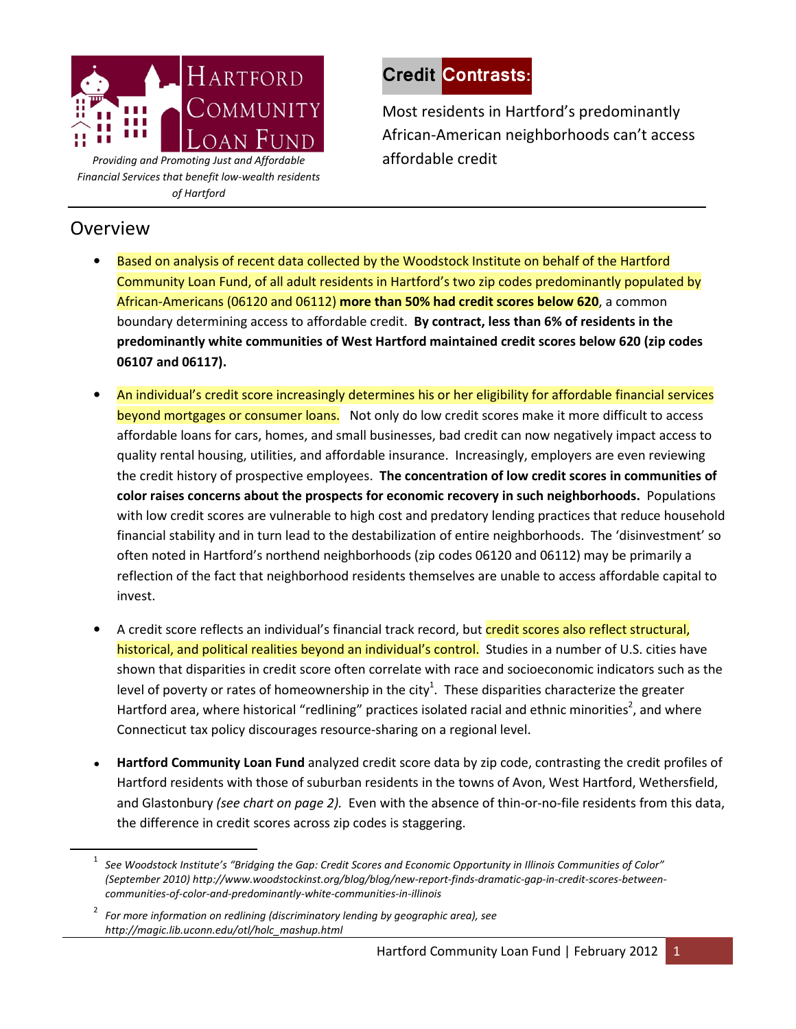

Providing and Promoting Just and Affordable and affordable credit Financial Services that benefit low-wealth residents of Hartford

## Overview

<u>.</u>

## Credit Contrasts:

Most residents in Hartford's predominantly African-American neighborhoods can't access

- Based on analysis of recent data collected by the Woodstock Institute on behalf of the Hartford Community Loan Fund, of all adult residents in Hartford's two zip codes predominantly populated by African-Americans (06120 and 06112) more than 50% had credit scores below 620, a common boundary determining access to affordable credit. By contract, less than 6% of residents in the predominantly white communities of West Hartford maintained credit scores below 620 (zip codes 06107 and 06117).
- An individual's credit score increasingly determines his or her eligibility for affordable financial services beyond mortgages or consumer loans. Not only do low credit scores make it more difficult to access affordable loans for cars, homes, and small businesses, bad credit can now negatively impact access to quality rental housing, utilities, and affordable insurance. Increasingly, employers are even reviewing the credit history of prospective employees. The concentration of low credit scores in communities of color raises concerns about the prospects for economic recovery in such neighborhoods. Populations with low credit scores are vulnerable to high cost and predatory lending practices that reduce household financial stability and in turn lead to the destabilization of entire neighborhoods. The 'disinvestment' so often noted in Hartford's northend neighborhoods (zip codes 06120 and 06112) may be primarily a reflection of the fact that neighborhood residents themselves are unable to access affordable capital to invest.
- A credit score reflects an individual's financial track record, but credit scores also reflect structural, historical, and political realities beyond an individual's control. Studies in a number of U.S. cities have shown that disparities in credit score often correlate with race and socioeconomic indicators such as the level of poverty or rates of homeownership in the city<sup>1</sup>. These disparities characterize the greater Hartford area, where historical "redlining" practices isolated racial and ethnic minorities<sup>2</sup>, and where Connecticut tax policy discourages resource-sharing on a regional level.
- Hartford Community Loan Fund analyzed credit score data by zip code, contrasting the credit profiles of Hartford residents with those of suburban residents in the towns of Avon, West Hartford, Wethersfield, and Glastonbury (see chart on page 2). Even with the absence of thin-or-no-file residents from this data, the difference in credit scores across zip codes is staggering.

 $^{\rm 1}\,$  See Woodstock Institute's "Bridging the Gap: Credit Scores and Economic Opportunity in Illinois Communities of Color" (September 2010) http://www.woodstockinst.org/blog/blog/new-report-finds-dramatic-gap-in-credit-scores-betweencommunities-of-color-and-predominantly-white-communities-in-illinois

<sup>2</sup> For more information on redlining (discriminatory lending by geographic area), see http://magic.lib.uconn.edu/otl/holc\_mashup.html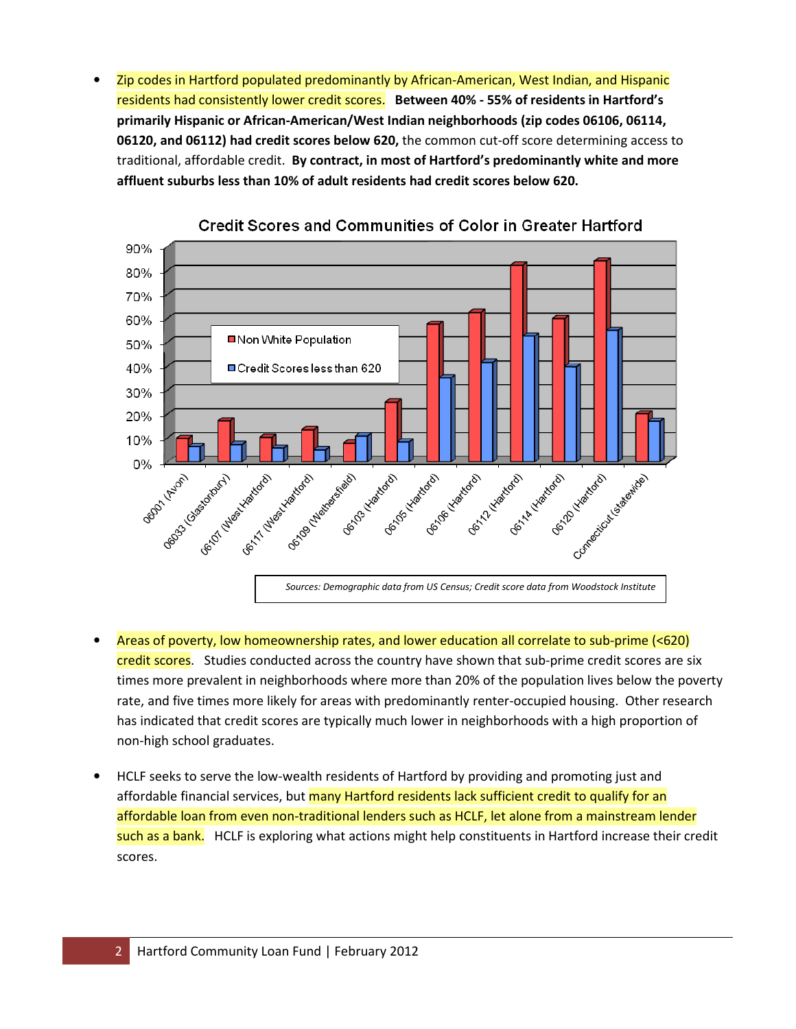• Zip codes in Hartford populated predominantly by African-American, West Indian, and Hispanic residents had consistently lower credit scores. Between 40% - 55% of residents in Hartford's primarily Hispanic or African-American/West Indian neighborhoods (zip codes 06106, 06114, 06120, and 06112) had credit scores below 620, the common cut-off score determining access to traditional, affordable credit. By contract, in most of Hartford's predominantly white and more affluent suburbs less than 10% of adult residents had credit scores below 620.



**Credit Scores and Communities of Color in Greater Hartford** 

- Areas of poverty, low homeownership rates, and lower education all correlate to sub-prime (<620) credit scores. Studies conducted across the country have shown that sub-prime credit scores are six times more prevalent in neighborhoods where more than 20% of the population lives below the poverty rate, and five times more likely for areas with predominantly renter-occupied housing. Other research has indicated that credit scores are typically much lower in neighborhoods with a high proportion of non-high school graduates.
- HCLF seeks to serve the low-wealth residents of Hartford by providing and promoting just and affordable financial services, but many Hartford residents lack sufficient credit to qualify for an affordable loan from even non-traditional lenders such as HCLF, let alone from a mainstream lender such as a bank. HCLF is exploring what actions might help constituents in Hartford increase their credit scores.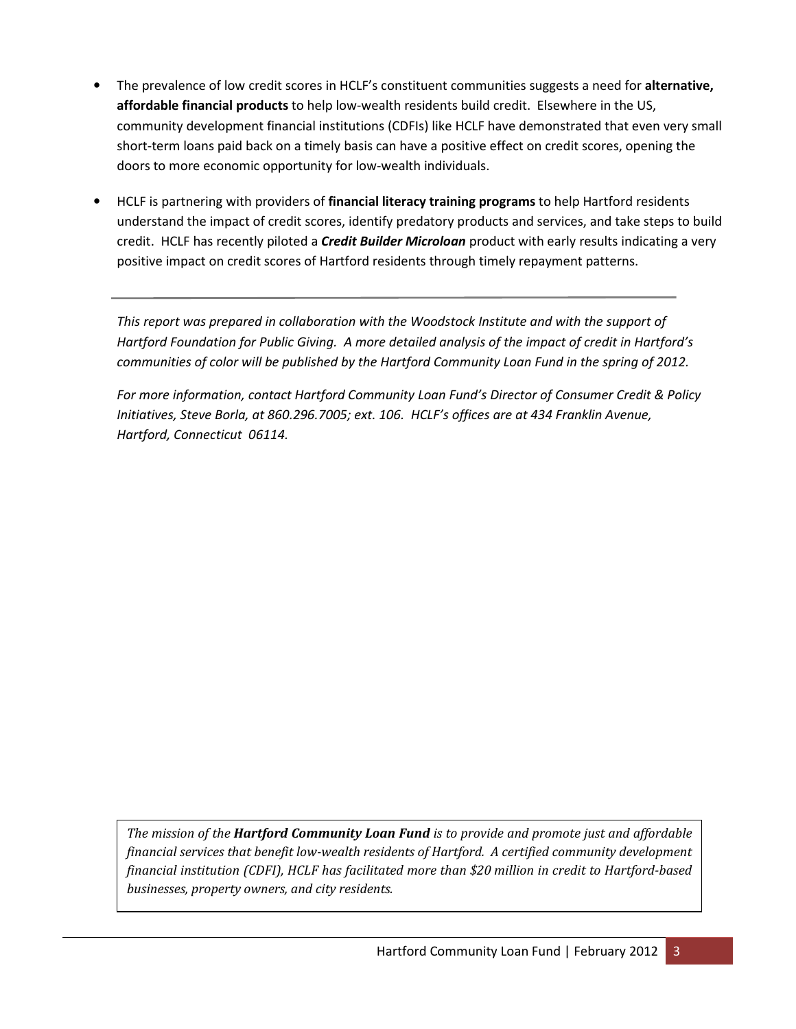- The prevalence of low credit scores in HCLF's constituent communities suggests a need for alternative, affordable financial products to help low-wealth residents build credit. Elsewhere in the US, community development financial institutions (CDFIs) like HCLF have demonstrated that even very small short-term loans paid back on a timely basis can have a positive effect on credit scores, opening the doors to more economic opportunity for low-wealth individuals.
- **HCLF** is partnering with providers of **financial literacy training programs** to help Hartford residents understand the impact of credit scores, identify predatory products and services, and take steps to build credit. HCLF has recently piloted a **Credit Builder Microloan** product with early results indicating a very positive impact on credit scores of Hartford residents through timely repayment patterns.

This report was prepared in collaboration with the Woodstock Institute and with the support of Hartford Foundation for Public Giving. A more detailed analysis of the impact of credit in Hartford's communities of color will be published by the Hartford Community Loan Fund in the spring of 2012.

For more information, contact Hartford Community Loan Fund's Director of Consumer Credit & Policy Initiatives, Steve Borla, at 860.296.7005; ext. 106. HCLF's offices are at 434 Franklin Avenue, Hartford, Connecticut 06114.

The mission of the Hartford Community Loan Fund is to provide and promote just and affordable financial services that benefit low-wealth residents of Hartford. A certified community development financial institution (CDFI), HCLF has facilitated more than \$20 million in credit to Hartford-based businesses, property owners, and city residents.